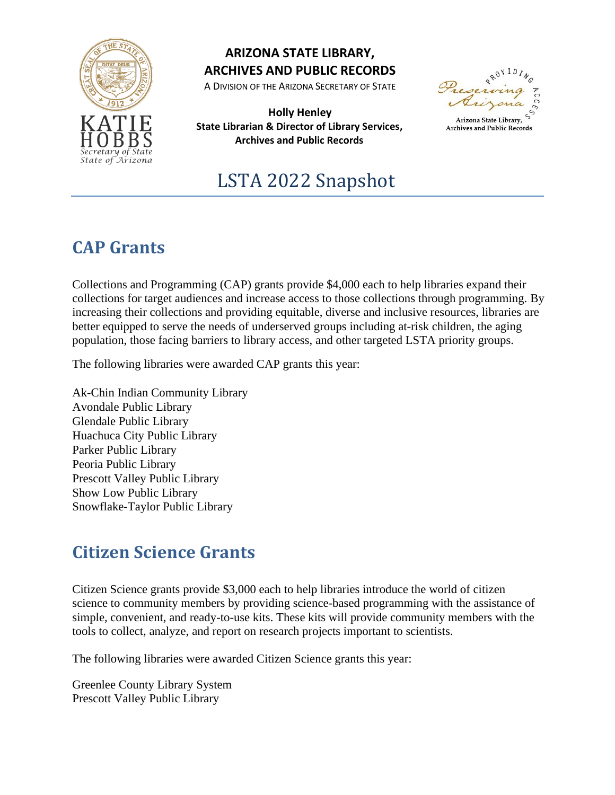

## **ARIZONA STATE LIBRARY, ARCHIVES AND PUBLIC RECORDS**

A DIVISION OF THE ARIZONA SECRETARY OF STATE

**Holly Henley State Librarian & Director of Library Services, Archives and Public Records**

Arizona State Library

**Archives and Public Records** 

# LSTA 2022 Snapshot

## **CAP Grants**

Collections and Programming (CAP) grants provide \$4,000 each to help libraries expand their collections for target audiences and increase access to those collections through programming. By increasing their collections and providing equitable, diverse and inclusive resources, libraries are better equipped to serve the needs of underserved groups including at-risk children, the aging population, those facing barriers to library access, and other targeted LSTA priority groups.

The following libraries were awarded CAP grants this year:

Ak-Chin Indian Community Library Avondale Public Library Glendale Public Library Huachuca City Public Library Parker Public Library Peoria Public Library Prescott Valley Public Library Show Low Public Library Snowflake-Taylor Public Library

## **Citizen Science Grants**

Citizen Science grants provide \$3,000 each to help libraries introduce the world of citizen science to community members by providing science-based programming with the assistance of simple, convenient, and ready-to-use kits. These kits will provide community members with the tools to collect, analyze, and report on research projects important to scientists.

The following libraries were awarded Citizen Science grants this year:

Greenlee County Library System Prescott Valley Public Library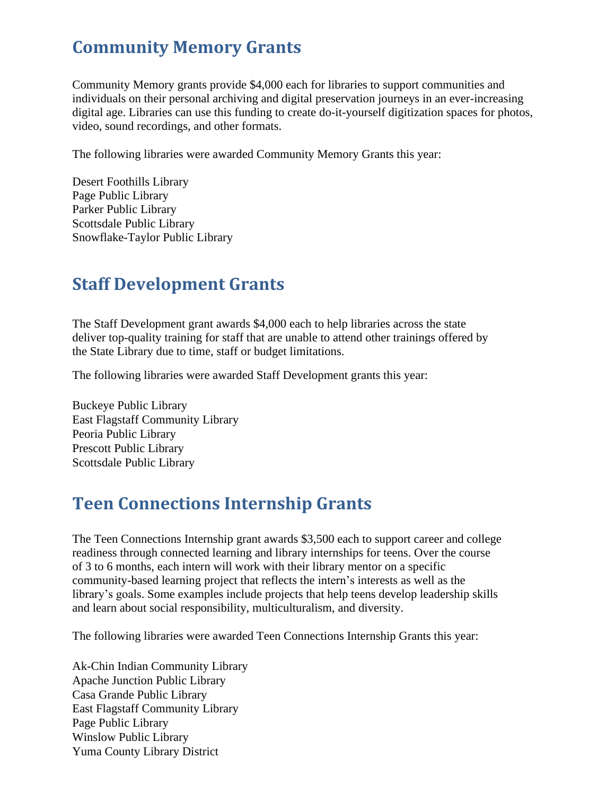## **Community Memory Grants**

Community Memory grants provide \$4,000 each for libraries to support communities and individuals on their personal archiving and digital preservation journeys in an ever-increasing digital age. Libraries can use this funding to create do-it-yourself digitization spaces for photos, video, sound recordings, and other formats.

The following libraries were awarded Community Memory Grants this year:

Desert Foothills Library Page Public Library Parker Public Library Scottsdale Public Library Snowflake-Taylor Public Library

## **Staff Development Grants**

The Staff Development grant awards \$4,000 each to help libraries across the state deliver top-quality training for staff that are unable to attend other trainings offered by the State Library due to time, staff or budget limitations.

The following libraries were awarded Staff Development grants this year:

Buckeye Public Library East Flagstaff Community Library Peoria Public Library Prescott Public Library Scottsdale Public Library

## **Teen Connections Internship Grants**

The Teen Connections Internship grant awards \$3,500 each to support career and college readiness through connected learning and library internships for teens. Over the course of 3 to 6 months, each intern will work with their library mentor on a specific community-based learning project that reflects the intern's interests as well as the library's goals. Some examples include projects that help teens develop leadership skills and learn about social responsibility, multiculturalism, and diversity.

The following libraries were awarded Teen Connections Internship Grants this year:

Ak-Chin Indian Community Library Apache Junction Public Library Casa Grande Public Library East Flagstaff Community Library Page Public Library Winslow Public Library Yuma County Library District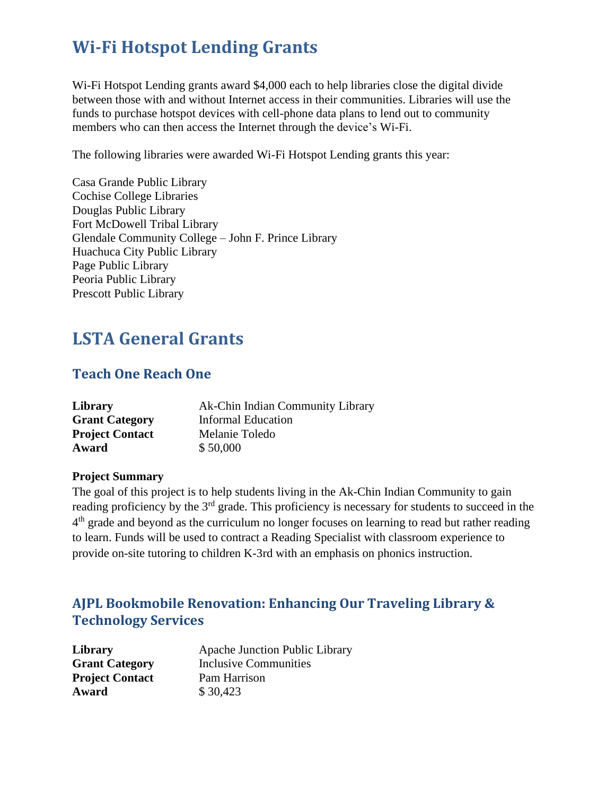## **Wi-Fi Hotspot Lending Grants**

Wi-Fi Hotspot Lending grants award \$4,000 each to help libraries close the digital divide between those with and without Internet access in their communities. Libraries will use the funds to purchase hotspot devices with cell-phone data plans to lend out to community members who can then access the Internet through the device's Wi-Fi.

The following libraries were awarded Wi-Fi Hotspot Lending grants this year:

Casa Grande Public Library Cochise College Libraries Douglas Public Library Fort McDowell Tribal Library Glendale Community College – John F. Prince Library Huachuca City Public Library Page Public Library Peoria Public Library Prescott Public Library

## **LSTA General Grants**

## **Teach One Reach One**

| Library                | Ak-Chin Indian Community Library |
|------------------------|----------------------------------|
| <b>Grant Category</b>  | <b>Informal Education</b>        |
| <b>Project Contact</b> | Melanie Toledo                   |
| Award                  | \$50,000                         |

#### **Project Summary**

The goal of this project is to help students living in the Ak-Chin Indian Community to gain reading proficiency by the 3<sup>rd</sup> grade. This proficiency is necessary for students to succeed in the 4<sup>th</sup> grade and beyond as the curriculum no longer focuses on learning to read but rather reading to learn. Funds will be used to contract a Reading Specialist with classroom experience to provide on-site tutoring to children K-3rd with an emphasis on phonics instruction.

## **AJPL Bookmobile Renovation: Enhancing Our Traveling Library & Technology Services**

| Library                | <b>Apache Junction Public Library</b> |
|------------------------|---------------------------------------|
| <b>Grant Category</b>  | <b>Inclusive Communities</b>          |
| <b>Project Contact</b> | Pam Harrison                          |
| Award                  | \$30,423                              |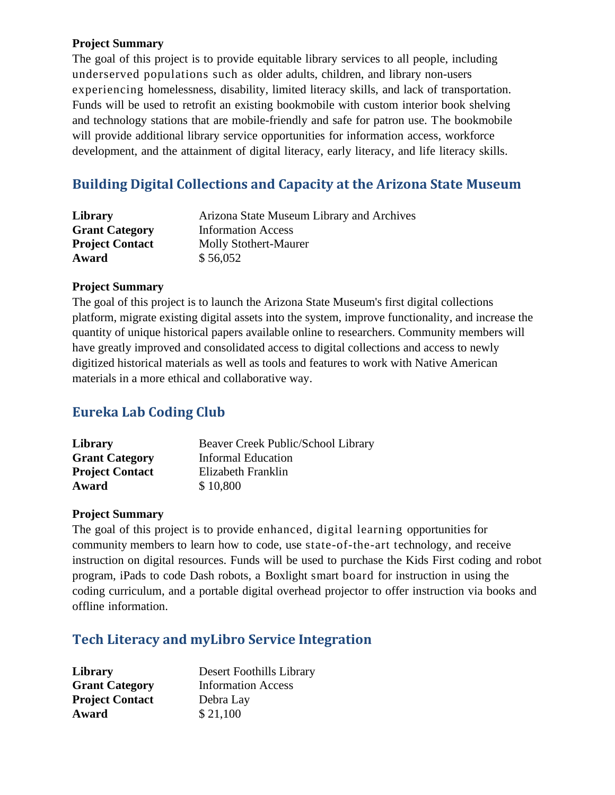#### **Project Summary**

The goal of this project is to provide equitable library services to all people, including underserved populations such as older adults, children, and library non-users experiencing homelessness, disability, limited literacy skills, and lack of transportation. Funds will be used to retrofit an existing bookmobile with custom interior book shelving and technology stations that are mobile-friendly and safe for patron use. The bookmobile will provide additional library service opportunities for information access, workforce development, and the attainment of digital literacy, early literacy, and life literacy skills.

## **Building Digital Collections and Capacity at the Arizona State Museum**

| Library                | Arizona State Museum Library and Archives |
|------------------------|-------------------------------------------|
| <b>Grant Category</b>  | <b>Information Access</b>                 |
| <b>Project Contact</b> | <b>Molly Stothert-Maurer</b>              |
| Award                  | \$56,052                                  |

#### **Project Summary**

The goal of this project is to launch the Arizona State Museum's first digital collections platform, migrate existing digital assets into the system, improve functionality, and increase the quantity of unique historical papers available online to researchers. Community members will have greatly improved and consolidated access to digital collections and access to newly digitized historical materials as well as tools and features to work with Native American materials in a more ethical and collaborative way.

## **Eureka Lab Coding Club**

| Library                | Beaver Creek Public/School Library |
|------------------------|------------------------------------|
| <b>Grant Category</b>  | <b>Informal Education</b>          |
| <b>Project Contact</b> | Elizabeth Franklin                 |
| Award                  | \$10,800                           |
|                        |                                    |

#### **Project Summary**

The goal of this project is to provide enhanced, digital learning opportunities for community members to learn how to code, use state-of-the-art technology, and receive instruction on digital resources. Funds will be used to purchase the Kids First coding and robot program, iPads to code Dash robots, a Boxlight smart board for instruction in using the coding curriculum, and a portable digital overhead projector to offer instruction via books and offline information.

## **Tech Literacy and myLibro Service Integration**

| Library                | Desert Foothills Library  |
|------------------------|---------------------------|
| <b>Grant Category</b>  | <b>Information Access</b> |
| <b>Project Contact</b> | Debra Lay                 |
| Award                  | \$21,100                  |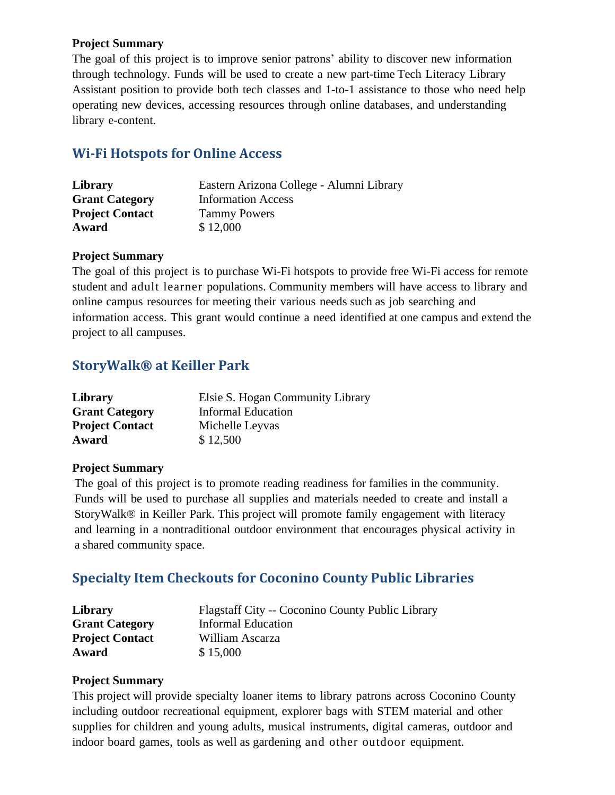#### **Project Summary**

The goal of this project is to improve senior patrons' ability to discover new information through technology. Funds will be used to create a new part-time Tech Literacy Library Assistant position to provide both tech classes and 1-to-1 assistance to those who need help operating new devices, accessing resources through online databases, and understanding library e-content.

## **Wi-Fi Hotspots for Online Access**

| Library                | Eastern Arizona College - Alumni Library |
|------------------------|------------------------------------------|
| <b>Grant Category</b>  | <b>Information Access</b>                |
| <b>Project Contact</b> | <b>Tammy Powers</b>                      |
| Award                  | \$12,000                                 |

#### **Project Summary**

The goal of this project is to purchase Wi-Fi hotspots to provide free Wi-Fi access for remote student and adult learner populations. Community members will have access to library and online campus resources for meeting their various needs such as job searching and information access. This grant would continue a need identified at one campus and extend the project to all campuses.

## **StoryWalk® at Keiller Park**

| Library                | Elsie S. Hogan Community Library |
|------------------------|----------------------------------|
| <b>Grant Category</b>  | <b>Informal Education</b>        |
| <b>Project Contact</b> | Michelle Leyvas                  |
| Award                  | \$12,500                         |

#### **Project Summary**

The goal of this project is to promote reading readiness for families in the community. Funds will be used to purchase all supplies and materials needed to create and install a StoryWalk® in Keiller Park. This project will promote family engagement with literacy and learning in a nontraditional outdoor environment that encourages physical activity in a shared community space.

## **Specialty Item Checkouts for Coconino County Public Libraries**

| Library                | <b>Flagstaff City -- Coconino County Public Library</b> |
|------------------------|---------------------------------------------------------|
| <b>Grant Category</b>  | <b>Informal Education</b>                               |
| <b>Project Contact</b> | William Ascarza                                         |
| Award                  | \$15,000                                                |

#### **Project Summary**

This project will provide specialty loaner items to library patrons across Coconino County including outdoor recreational equipment, explorer bags with STEM material and other supplies for children and young adults, musical instruments, digital cameras, outdoor and indoor board games, tools as well as gardening and other outdoor equipment.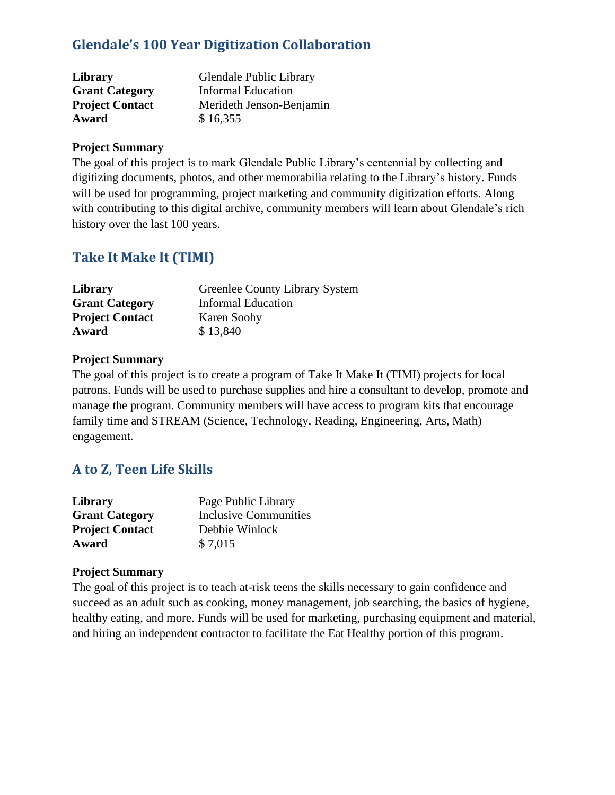## **Glendale's 100 Year Digitization Collaboration**

| Library                | Glendale Public Library   |
|------------------------|---------------------------|
| <b>Grant Category</b>  | <b>Informal Education</b> |
| <b>Project Contact</b> | Merideth Jenson-Benjamin  |
| Award                  | \$16,355                  |

#### **Project Summary**

The goal of this project is to mark Glendale Public Library's centennial by collecting and digitizing documents, photos, and other memorabilia relating to the Library's history. Funds will be used for programming, project marketing and community digitization efforts. Along with contributing to this digital archive, community members will learn about Glendale's rich history over the last 100 years.

## **Take It Make It (TIMI)**

| Library                | <b>Greenlee County Library System</b> |
|------------------------|---------------------------------------|
| <b>Grant Category</b>  | <b>Informal Education</b>             |
| <b>Project Contact</b> | Karen Soohy                           |
| Award                  | \$13,840                              |

#### **Project Summary**

The goal of this project is to create a program of Take It Make It (TIMI) projects for local patrons. Funds will be used to purchase supplies and hire a consultant to develop, promote and manage the program. Community members will have access to program kits that encourage family time and STREAM (Science, Technology, Reading, Engineering, Arts, Math) engagement.

## **A to Z, Teen Life Skills**

| Library                | Page Public Library          |
|------------------------|------------------------------|
| <b>Grant Category</b>  | <b>Inclusive Communities</b> |
| <b>Project Contact</b> | Debbie Winlock               |
| Award                  | \$7,015                      |

#### **Project Summary**

The goal of this project is to teach at-risk teens the skills necessary to gain confidence and succeed as an adult such as cooking, money management, job searching, the basics of hygiene, healthy eating, and more. Funds will be used for marketing, purchasing equipment and material, and hiring an independent contractor to facilitate the Eat Healthy portion of this program.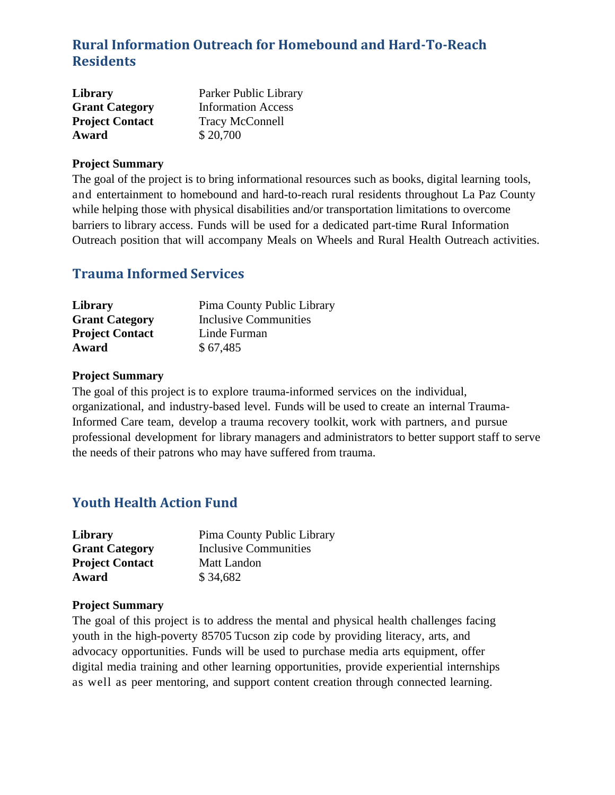## **Rural Information Outreach for Homebound and Hard-To-Reach Residents**

| <b>Library</b>         | Parker Public Library     |
|------------------------|---------------------------|
| <b>Grant Category</b>  | <b>Information Access</b> |
| <b>Project Contact</b> | <b>Tracy McConnell</b>    |
| Award                  | \$20,700                  |

#### **Project Summary**

The goal of the project is to bring informational resources such as books, digital learning tools, and entertainment to homebound and hard-to-reach rural residents throughout La Paz County while helping those with physical disabilities and/or transportation limitations to overcome barriers to library access. Funds will be used for a dedicated part-time Rural Information Outreach position that will accompany Meals on Wheels and Rural Health Outreach activities.

## **Trauma Informed Services**

| Library                | Pima County Public Library |
|------------------------|----------------------------|
| <b>Grant Category</b>  | Inclusive Communities      |
| <b>Project Contact</b> | Linde Furman               |
| Award                  | \$67,485                   |

#### **Project Summary**

The goal of this project is to explore trauma-informed services on the individual, organizational, and industry-based level. Funds will be used to create an internal Trauma-Informed Care team, develop a trauma recovery toolkit, work with partners, and pursue professional development for library managers and administrators to better support staff to serve the needs of their patrons who may have suffered from trauma.

## **Youth Health Action Fund**

| Library                | Pima County Public Library |
|------------------------|----------------------------|
| <b>Grant Category</b>  | Inclusive Communities      |
| <b>Project Contact</b> | Matt Landon                |
| Award                  | \$34,682                   |

#### **Project Summary**

The goal of this project is to address the mental and physical health challenges facing youth in the high-poverty 85705 Tucson zip code by providing literacy, arts, and advocacy opportunities. Funds will be used to purchase media arts equipment, offer digital media training and other learning opportunities, provide experiential internships as well as peer mentoring, and support content creation through connected learning.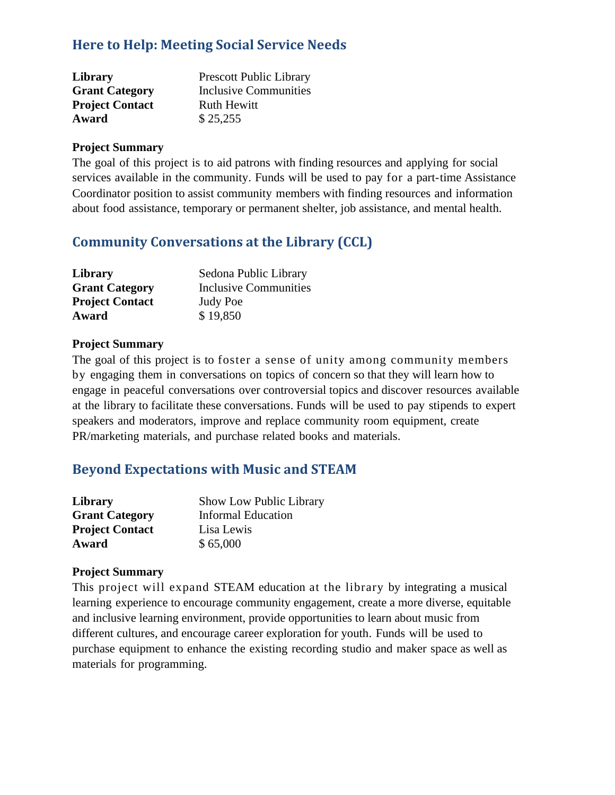## **Here to Help: Meeting Social Service Needs**

| Library                | <b>Prescott Public Library</b> |
|------------------------|--------------------------------|
| <b>Grant Category</b>  | Inclusive Communities          |
| <b>Project Contact</b> | <b>Ruth Hewitt</b>             |
| Award                  | \$25,255                       |

#### **Project Summary**

The goal of this project is to aid patrons with finding resources and applying for social services available in the community. Funds will be used to pay for a part-time Assistance Coordinator position to assist community members with finding resources and information about food assistance, temporary or permanent shelter, job assistance, and mental health.

## **Community Conversations at the Library (CCL)**

| Library                | Sedona Public Library |
|------------------------|-----------------------|
| <b>Grant Category</b>  | Inclusive Communities |
| <b>Project Contact</b> | <b>Judy Poe</b>       |
| Award                  | \$19,850              |

#### **Project Summary**

The goal of this project is to foster a sense of unity among community members by engaging them in conversations on topics of concern so that they will learn how to engage in peaceful conversations over controversial topics and discover resources available at the library to facilitate these conversations. Funds will be used to pay stipends to expert speakers and moderators, improve and replace community room equipment, create PR/marketing materials, and purchase related books and materials.

## **Beyond Expectations with Music and STEAM**

| Library                | Show Low Public Library   |
|------------------------|---------------------------|
| <b>Grant Category</b>  | <b>Informal Education</b> |
| <b>Project Contact</b> | Lisa Lewis                |
| Award                  | \$65,000                  |

#### **Project Summary**

This project will expand STEAM education at the library by integrating a musical learning experience to encourage community engagement, create a more diverse, equitable and inclusive learning environment, provide opportunities to learn about music from different cultures, and encourage career exploration for youth. Funds will be used to purchase equipment to enhance the existing recording studio and maker space as well as materials for programming.